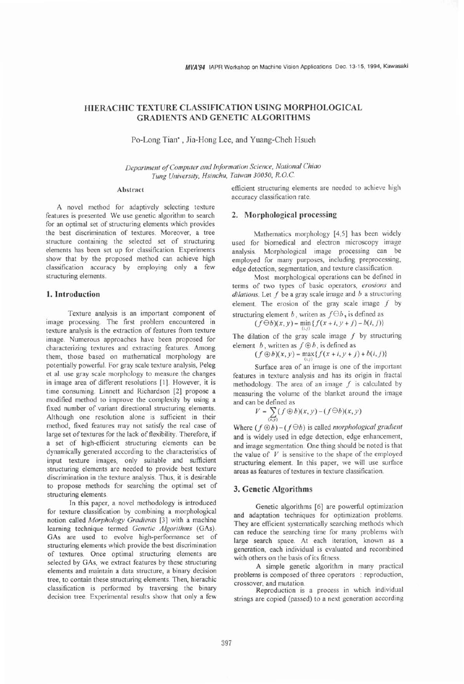# **HIERACHIC TEXTURE CLASSIFICATION USING MORPHOLOGICAL GRADIENTS AND GENETIC ALGORITHMS**

Po-Long Tian' , Jia-Hong Lee, and Yuang-Cheh Hsueh

*Department of Comprrter and Information Science, National Chiao*  **Tung University, Hsinchu, Taiwan 30050, R.O.C.** 

## Abstract

A novel method for adaptively selecting texture features is presented. We use genetic algorithm to search for an optimal set of structuring elements which provides the best discrimination of textures. Moreover, a tree structure containing the selected set of structuring elements has been set up for classification. Experiments show that by the proposed method can achieve high classification accuracy by employing only a few structuring elements.

### **1. Introduction**

Texture analysis is an important component of image processing. The first problem encountered in texture analysis is the extraction of features from texture image. Numerous approaches have been proposed for characterizing textures and extracting features. Among them, those based on mathematical morphology are potentially powerful. For gray scale texture analysis, Peleg et al. use gray scale morphology to measure the changes in image area of different resolutions [I]. However, it is time consuming. Linnett and Richardson **[2]** propose a modified method to improve the complexity by using a fixed number of variant directional structuring elements. Although one resolution alone is sufficient in their method, fixed features may not satisfy the real case of large set of textures for the lack of flexibility. Therefore, if a set of high-efficient structuring elements can be dynamically generated according to the characteristics of input texture images, only suitable and sufficient structuring elements are needed to provide best texture discrimination in the texture analysis. Thus, it is desirable to propose methods for searching the optimal set of structuring elements.

In this paper, a novel methodology is introduced for texture classification by combining a morphological notion called *Morphology Gradients [3]* with a machine learning technique termed *Genetic Algorithms* (GAS). GAS are used to evolve high-performance set of structuring elements which provide the best discrimination of textures. Once optimal structuring elements are selected by GAS, we extract features by these structuring elements and maintain a data structure, a binary decision tree, to contain these structuring elements. Then, hierachic classification is performed by traversing the binary decision tree. Experimental results show that only a few

efficient structuring elements are needed to achieve high accuracy classification rate.

#### **2. Morphological processing**

Mathematics morphology **[4,5]** has been widely used for biomedical and electron microscopy image analysis. Morphological image processing can be employed for many purposes, including preprocessing, edge detection, segmentation, and texture classification.

Most morphological operations can be defined in terms of two types of basic operators, *erosions* and  $dilations.$  Let  $f$  be a gray scale image and  $b$  a structuring element. The erosion of the gray scale image *f* by structuring element b, writen as  $f \Theta b$ , is defined as

 $(f \Theta b)(x, y) = \min \{f(x + i, y + j) - b(i, j)\}\$ 

The dilation of the gray scale image *f* by structuring element  $b$ , written as  $f \oplus b$ , is defined as

 $(f \oplus b)(x, y) = \max\{f(x + i, y + j) + b(i, j)\}$ 

Surface area of an image is one of the important features in texture analysis and has its origin in fractal methodology. The area of an image *f* is calculated by measuring the volume of the blanket around the image and can be defined as

$$
V = \sum_{(x,y)} (f \oplus b)(x,y) - (f \ominus b)(x,y)
$$

Where  $(f \oplus b) - (f \ominus b)$  is called *morphological gradient* and is widely used in edge detection, edge enhancement, and image segmentation. One thing should be noted is that the value of  $V$  is sensitive to the shape of the employed structuring element. In this paper, we will use surface areas as features of textures in texture classification.

# **3. Genetic Algorithms**

Genetic algorithms [6] are powefil optimization and adaptation techniques for optimization problems. They are efficient systematically searching methods which can reduce the searching time for many problems with large search space. At each iteration, known as a generation, each individual is evaluated and recombined with others on the basis of its fitness.

A simple genetic algorithm in many practical problems is composed of three operators : reproduction, crossover, and mutation.

Reproduction is a process in which individual strings are copied (passed) to a next generation according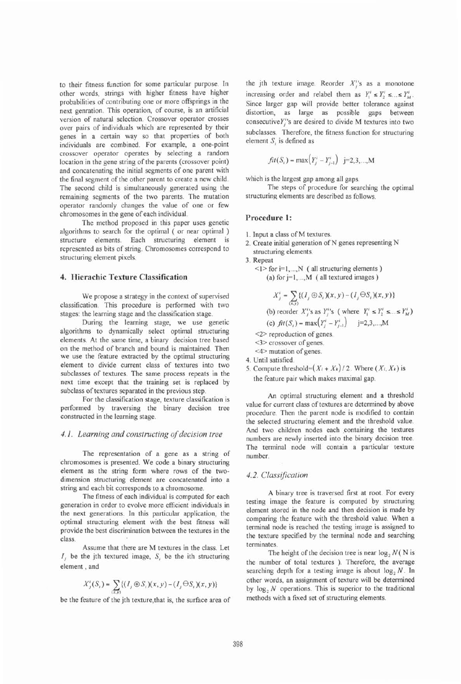to their fitness function for some particular purpose. In other words, strings with higher fitness have higher probabilities of contributing one or more offsprings in the next genration. This operation, of course, is an artificial version of natural selection. Crossover operator crosses over pairs of individuals which are represented by their genes in a certain way so that properties of both individuals are combined. For example, a one-point crossover operator operates by selecting a random location in the gene string of the parents (crossover point) and concatenating the initial segments of one parent with the final segment of the other parent to create a new child. The second child is simultaneously generated using the remaining segments of the two parents. The mutation operator randomly changes the value of one or few chromosomes in the gene of each individual.

The method proposed in this paper uses genetic algorithms to search for the optimal ( or near optimal ) structure elements. Each structuring element is represented as bits of string. Chromosomes correspond to structuring element pixels.

# **4. Hierachic Texture Classification**

We propose a strategy in the context of supervised classification. This procedure is performed with two stages: the learning stage and the classification stage.

During the learning stage, we use genetic algorithms to dynamically select optimal structuring elements. At the same time, a binary decision tree based on the method of branch and bound is maintained. Then we use the feature extracted by the optimal structuring element to divide current class of textures into two subclasses of textures. The same process repeats in the next time except that the training set is replaced by subclass of textures separated in the previous step.

For the classification stage, texture classification is performed by traversing the binary decision tree constructed in the learning stage.

# *4.1. Learning and constructing of decision tree*

The representation of a gene as a string of chromosomes is presented. We code a binary structuring element as the string form where rows of the twodimension structuring element are concatenated into a string and each bit corresponds to a chromosome.

The fitness of each individual is computed for each generation in order to evolve more efficient individuals in the next generations. In this particular application, the optimal structuring element with the best fitness will provide the best discrimination between the textures in the class.

Assume that there are M textures in the class. Let *I,* be the jth textured image, S, be the ith structuring element, and

$$
X'_{j}(S_{i})=\sum_{(x,y)}\{(I_{j}\oplus S_{i})(x,y)-(I_{j}\ominus S_{i})(x,y)\}
$$

be the feature of the jth texture,that is, the surface area of

the jth texture image. Reorder  $X_j^{\prime\prime}$ s as a monotone increasing order and relabel them as  $Y_1' \leq Y_2' \leq \ldots \leq Y_M'$ . Since larger gap will provide better tolerance against distortion, as large as possible gaps between consecutive $Y'$ 's are desired to divide M textures into two subclasses. Therefore, the fitness function for structuring element S, is defined as

$$
fit(S_i) = \max(Y_j - Y_{j-1}^i) \quad j=2,3,...,M
$$

which is the largest gap among all gaps.

The steps of procedure for searching the optimal structuring elements are described as follows.

# **Procedure 1:**

- 1. Input a class of M textures.
- 2. Create initial generation of N genes representing N structuring elements.

3. Repeat

**<1>** for **i=1,** ..., N ( all structuring elements ) (a) for  $j=1,...,M$  ( all textured images )

$$
X'_{j} = \sum_{(x,y)} \{ (I_{j} \oplus S_{i})(x,y) - (I_{j} \ominus S_{i})(x,y) \}
$$
  
(b) reorder  $X'_{j}$ 's as  $Y'_{j}$ 's (where  $Y'_{1} \le Y'_{2} \le ... \le Y'_{M}$ )  
(c)  $fit(S_{i}) = \max(Y'_{j} - Y'_{j-1})$  j=2,3,...,M  
<2>reproduction of genes.  
<3> crossover of genes.  
<4> mutation of genes.

- 4. Until satisfied.
- 5. Compute threshold= $(X_i + X_k) / 2$ . Where  $(X_i, X_k)$  is the feature pair which makes maximal gap.

An optimal structuring element and a threshold value for current class of textures are determined by above procedure. Then the parent node is modified to contain the selected structuring element and the threshold value. And two children nodes each containing the textures numbers are newly inserted into the binary decision tree. The terminal node will contain a particular texture number.

#### 4.2. Classification

A binary tree is traversed first at root. For every testing image the feature is computed by structuring element stored in the node and then decision is made by comparing the feature with the threshold value. When a terminal node is reached the testing image is assigned to the texture specified by the terminal node and searching terminates.

The height of the decision tree is near  $\log_2 N(N)$  is the number of total textures ). Therefore, the average searching depth for a testing image is about  $log_2 N$ . In other words, an assignment of texture will be determined by log, *N* operations. This is superior to the traditional methods with a fixed set of structuring elements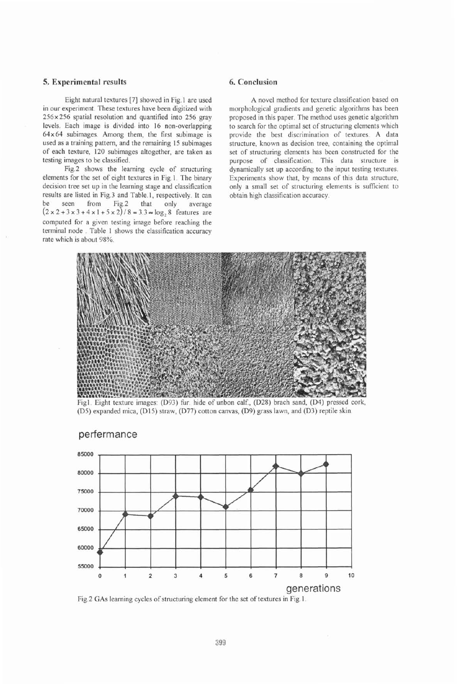# **5. Experimental results 6. Conclusion**

Eight natural textures [7] showed in Fig. 1 are used in our experiment. These textures have been digitized with 256x256 spatial resolution and quantified into 256 gray levels. Each image is divided into 16 non-overlapping  $64 \times 64$  subimages. Among them, the first subimage is used as a training pattern, and the remaining 15 subimages of each texture, 120 subimages altogether, are taken as testing images to be classified.

Fig.2 shows the learning cycle of structuring elements for the set of eight textures in Fig. 1. The binary decision tree set up in the learning stage and classification results are listed in Fig.3 and Table.1, respectively. It can<br>be seen from Fig.2 that only average average  $(2 \times 2 + 3 \times 3 + 4 \times 1 + 5 \times 2)/8 = 3.3 \approx \log_2 8$  features are computed for a given testing image before reaching the terminal node . Table 1 shows the classification accuracy rate which is about 98%.

A novel method for texture classification based on morphological gradients and genetic algorithms has been proposed in this paper. The method uses genetic algorithm to search for the optimal set of structuring elements which provide the best discrimination of textures. A data structure, known as decision tree, containing the optimal set of structuring elements has been constructed for the purpose of classification. This data structure is dynamically set up according to the input testing textures. Experiments show that, by means of this data structure, only a small set of structuring elements is sufficient to obtain high classification accuracy.



Fig1. Eight texture images: (D93) fur. hide of unbon calf., (D28) brach sand, (D4) pressed cork, (D5) expanded mica, (D15) straw, (D77) cotton canvas, (D9) grass lawn, and (D3) reptile skin.



# perfermance

Fig.2 GAS learning cycles of structuring element for the set of textures in Fig. 1.